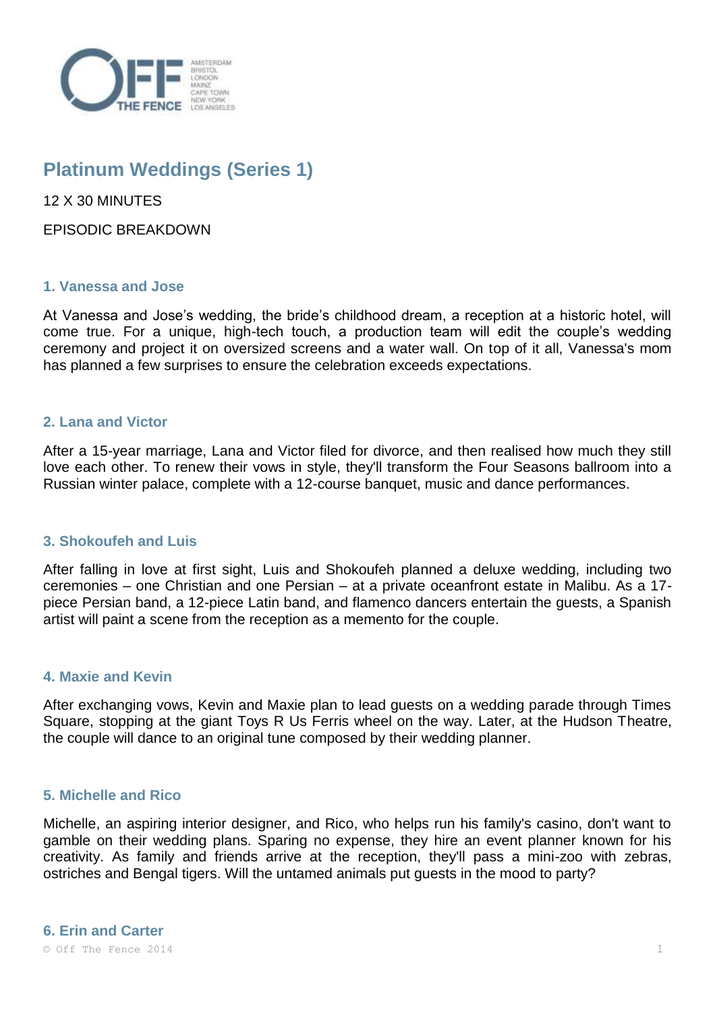

# **Platinum Weddings (Series 1)**

12 X 30 MINUTES

EPISODIC BREAKDOWN

## **1. Vanessa and Jose**

At Vanessa and Jose's wedding, the bride's childhood dream, a reception at a historic hotel, will come true. For a unique, high-tech touch, a production team will edit the couple's wedding ceremony and project it on oversized screens and a water wall. On top of it all, Vanessa's mom has planned a few surprises to ensure the celebration exceeds expectations.

## **2. Lana and Victor**

After a 15-year marriage, Lana and Victor filed for divorce, and then realised how much they still love each other. To renew their vows in style, they'll transform the Four Seasons ballroom into a Russian winter palace, complete with a 12-course banquet, music and dance performances.

## **3. Shokoufeh and Luis**

After falling in love at first sight, Luis and Shokoufeh planned a deluxe wedding, including two ceremonies – one Christian and one Persian – at a private oceanfront estate in Malibu. As a 17 piece Persian band, a 12-piece Latin band, and flamenco dancers entertain the guests, a Spanish artist will paint a scene from the reception as a memento for the couple.

## **4. Maxie and Kevin**

After exchanging vows, Kevin and Maxie plan to lead guests on a wedding parade through Times Square, stopping at the giant Toys R Us Ferris wheel on the way. Later, at the Hudson Theatre, the couple will dance to an original tune composed by their wedding planner.

#### **5. Michelle and Rico**

Michelle, an aspiring interior designer, and Rico, who helps run his family's casino, don't want to gamble on their wedding plans. Sparing no expense, they hire an event planner known for his creativity. As family and friends arrive at the reception, they'll pass a mini-zoo with zebras, ostriches and Bengal tigers. Will the untamed animals put guests in the mood to party?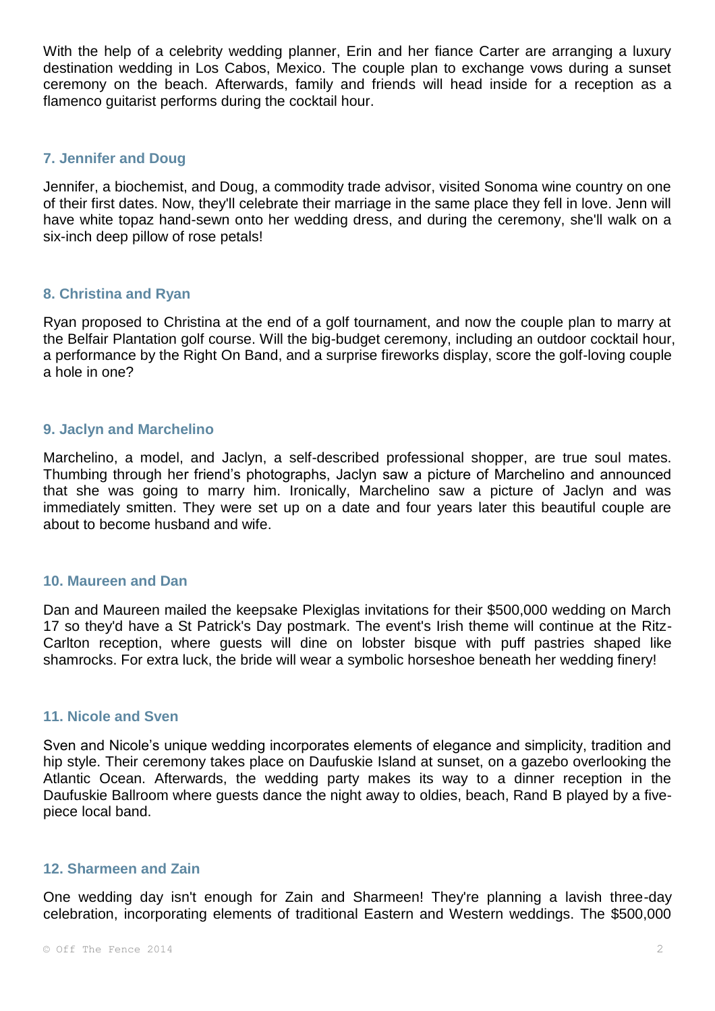With the help of a celebrity wedding planner, Erin and her fiance Carter are arranging a luxury destination wedding in Los Cabos, Mexico. The couple plan to exchange vows during a sunset ceremony on the beach. Afterwards, family and friends will head inside for a reception as a flamenco guitarist performs during the cocktail hour.

## **7. Jennifer and Doug**

Jennifer, a biochemist, and Doug, a commodity trade advisor, visited Sonoma wine country on one of their first dates. Now, they'll celebrate their marriage in the same place they fell in love. Jenn will have white topaz hand-sewn onto her wedding dress, and during the ceremony, she'll walk on a six-inch deep pillow of rose petals!

## **8. Christina and Ryan**

Ryan proposed to Christina at the end of a golf tournament, and now the couple plan to marry at the Belfair Plantation golf course. Will the big-budget ceremony, including an outdoor cocktail hour, a performance by the Right On Band, and a surprise fireworks display, score the golf-loving couple a hole in one?

## **9. Jaclyn and Marchelino**

Marchelino, a model, and Jaclyn, a self-described professional shopper, are true soul mates. Thumbing through her friend's photographs, Jaclyn saw a picture of Marchelino and announced that she was going to marry him. Ironically, Marchelino saw a picture of Jaclyn and was immediately smitten. They were set up on a date and four years later this beautiful couple are about to become husband and wife.

#### **10. Maureen and Dan**

Dan and Maureen mailed the keepsake Plexiglas invitations for their \$500,000 wedding on March 17 so they'd have a St Patrick's Day postmark. The event's Irish theme will continue at the Ritz-Carlton reception, where guests will dine on lobster bisque with puff pastries shaped like shamrocks. For extra luck, the bride will wear a symbolic horseshoe beneath her wedding finery!

#### **11. Nicole and Sven**

Sven and Nicole's unique wedding incorporates elements of elegance and simplicity, tradition and hip style. Their ceremony takes place on Daufuskie Island at sunset, on a gazebo overlooking the Atlantic Ocean. Afterwards, the wedding party makes its way to a dinner reception in the Daufuskie Ballroom where guests dance the night away to oldies, beach, Rand B played by a fivepiece local band.

#### **12. Sharmeen and Zain**

One wedding day isn't enough for Zain and Sharmeen! They're planning a lavish three-day celebration, incorporating elements of traditional Eastern and Western weddings. The \$500,000